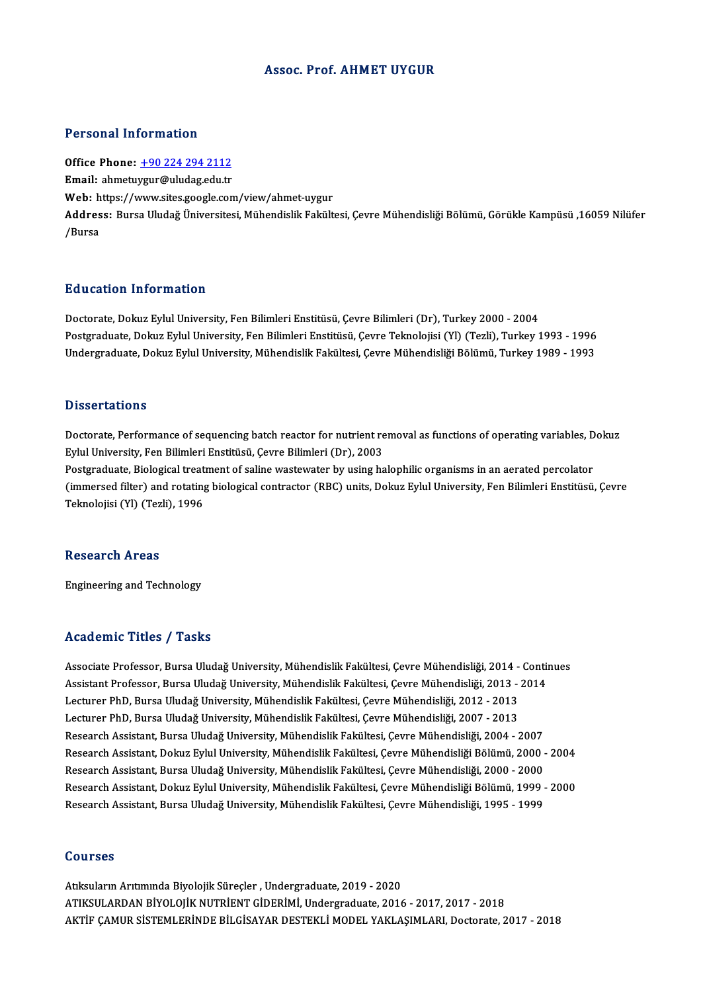#### Assoc. Prof. AHMET UYGUR

#### Personal Information

Office Phone: +90 224 294 2112 Email: ahmetu[ygur@uludag.edu.tr](tel:+90 224 294 2112) Office Phone: <u>+90 224 294 2112</u><br>Email: ahmetuygur@uludag.edu.tr<br>Web: https://www.sites.google.com/view/ahmet-uygur<br>Addressy Purse Uludeğ Üniversitesi Mühandislik Felsük Address: Bursa Uludağ Üniversitesi, Mühendislik Fakültesi, Çevre Mühendisliği Bölümü, Görükle Kampüsü ,16059 Nilüfer<br>/Bursa Web: h<br>Addres<br>/Bursa

#### Education Information

Doctorate, Dokuz Eylul University, Fen Bilimleri Enstitüsü, Çevre Bilimleri (Dr), Turkey 2000 - 2004 Pu u sutron "Informution"<br>Doctorate, Dokuz Eylul University, Fen Bilimleri Enstitüsü, Çevre Bilimleri (Dr), Turkey 2000 - 2004<br>Postgraduate, Dokuz Eylul University, Fen Bilimleri Enstitüsü, Çevre Teknolojisi (Yl) (Tezli), Doctorate, Dokuz Eylul University, Fen Bilimleri Enstitüsü, Çevre Bilimleri (Dr), Turkey 2000 - 2004<br>Postgraduate, Dokuz Eylul University, Fen Bilimleri Enstitüsü, Çevre Teknolojisi (Yl) (Tezli), Turkey 1993 - 1996<br>Undergr Undergraduate, Dokuz Eylul University, Mühendislik Fakültesi, Çevre Mühendisliği Bölümü, Turkey 1989 - 1993<br>Dissertations

Dissertations<br>Doctorate, Performance of sequencing batch reactor for nutrient removal as functions of operating variables, Dokuz<br>Fulul University, Fon Bilimleri Enstitüsü, Geyre Bilimleri (Dr.), 2002 Eylul University,<br>Doctorate, Performance of sequencing batch reactor for nutrient re<br>Eylul University, Fen Bilimleri Enstitüsü, Çevre Bilimleri (Dr), 2003<br>Postavaduata, Bielogical treatment of seline urateuraten bu using b Doctorate, Performance of sequencing batch reactor for nutrient removal as functions of operating variables, D<br>Eylul University, Fen Bilimleri Enstitüsü, Çevre Bilimleri (Dr), 2003<br>Postgraduate, Biological treatment of sal

Eylul University, Fen Bilimleri Enstitüsü, Çevre Bilimleri (Dr), 2003<br>Postgraduate, Biological treatment of saline wastewater by using halophilic organisms in an aerated percolator<br>(immersed filter) and rotating biological Teknolojisi (Yl) (Tezli),1996

#### Research Areas

Engineering and Technology

#### Academic Titles / Tasks

Academic Titles / Tasks<br>Associate Professor, Bursa Uludağ University, Mühendislik Fakültesi, Çevre Mühendisliği, 2014 - Continues<br>Assistant Professor, Bursa Uludağ University, Mühendislik Fakültesi, Çevre Mühendisliği, 201 Associate Professor, Bursa Uludağ University, Mühendislik Fakültesi, Çevre Mühendisliği, 2014 - Contin<br>Assistant Professor, Bursa Uludağ University, Mühendislik Fakültesi, Çevre Mühendisliği, 2013 - 2014<br>Lestuner PhD, Burs Associate Professor, Bursa Uludağ University, Mühendislik Fakültesi, Çevre Mühendisliği, 2014 -<br>Assistant Professor, Bursa Uludağ University, Mühendislik Fakültesi, Çevre Mühendisliği, 2013 -<br>Lecturer PhD, Bursa Uludağ Uni Assistant Professor, Bursa Uludağ University, Mühendislik Fakültesi, Çevre Mühendisliği, 2013 -<br>Lecturer PhD, Bursa Uludağ University, Mühendislik Fakültesi, Çevre Mühendisliği, 2012 - 2013<br>Lecturer PhD, Bursa Uludağ Unive Lecturer PhD, Bursa Uludağ University, Mühendislik Fakültesi, Çevre Mühendisliği, 2012 - 2013<br>Lecturer PhD, Bursa Uludağ University, Mühendislik Fakültesi, Çevre Mühendisliği, 2007 - 2013<br>Research Assistant, Bursa Uludağ U Lecturer PhD, Bursa Uludağ University, Mühendislik Fakültesi, Çevre Mühendisliği, 2007 - 2013<br>Research Assistant, Bursa Uludağ University, Mühendislik Fakültesi, Çevre Mühendisliği, 2004 - 2007<br>Research Assistant, Dokuz Ey Research Assistant, Bursa Uludağ University, Mühendislik Fakültesi, Çevre Mühendisliği, 2004 - 2007<br>Research Assistant, Dokuz Eylul University, Mühendislik Fakültesi, Çevre Mühendisliği Bölümü, 2000 -<br>Research Assistant, B Research Assistant, Dokuz Eylul University, Mühendislik Fakültesi, Çevre Mühendisliği Bölümü, 2000 - 2004<br>Research Assistant, Bursa Uludağ University, Mühendislik Fakültesi, Çevre Mühendisliği, 2000 - 2000<br>Research Assista Research Assistant, Bursa Uludağ University, Mühendislik Fakültesi, Çevre Mühendisliği, 2000 - 2000<br>Research Assistant, Dokuz Eylul University, Mühendislik Fakültesi, Çevre Mühendisliği Bölümü, 1999 - 2000<br>Research Assista

#### Courses

Atıksuların Arıtımında Biyolojik Süreçler, Undergraduate, 2019 - 2020 ATIKSULARDAN BİYOLOJİK NUTRİENT GİDERİMİ, Undergraduate, 2016 - 2017, 2017 - 2018 AKTİF ÇAMUR SİSTEMLERİNDE BİLGİSAYAR DESTEKLİ MODEL YAKLAŞIMLARI, Doctorate, 2017 - 2018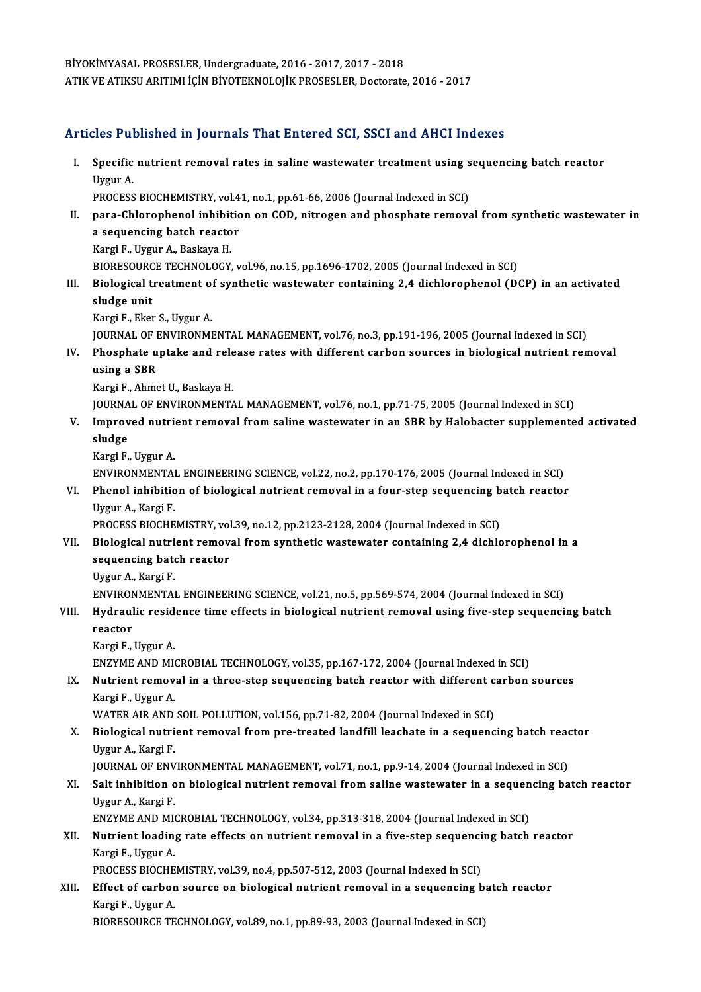BİYOKİMYASAL PROSESLER,Undergraduate,2016 -2017,2017 -2018 ATIK VE ATIKSU ARITIMI İÇİN BİYOTEKNOLOJİK PROSESLER, Doctorate, 2016 - 2017

## Articles Published in Journals That Entered SCI, SSCI and AHCI Indexes

rticles Published in Journals That Entered SCI, SSCI and AHCI Indexes<br>I. Specific nutrient removal rates in saline wastewater treatment using sequencing batch reactor<br>Urgur A Specific<br>Specific<br>Uygur A. Specific nutrient removal rates in saline wastewater treatment using s<br>Uygur A.<br>PROCESS BIOCHEMISTRY, vol.41, no.1, pp.61-66, 2006 (Journal Indexed in SCI)<br>nare Chlorenhenel inhibition on COD, nitregen and pheephate remove Uygur A.<br>PROCESS BIOCHEMISTRY, vol.41, no.1, pp.61-66, 2006 (Journal Indexed in SCI)<br>II. para-Chlorophenol inhibition on COD, nitrogen and phosphate removal from synthetic wastewater in<br>a sequencing batch reactor PROCESS BIOCHEMISTRY, vol.41, no.1, pp.61-66, 2006 (Journal Indexed in SCI) Kargi F., Uygur A., Baskaya H. a sequencing batch reactor<br>Kargi F., Uygur A., Baskaya H.<br>BIORESOURCE TECHNOLOGY, vol.96, no.15, pp.1696-1702, 2005 (Journal Indexed in SCI)<br>Pielogisel treatment of suntbotis westewater sentaining 2.4 dishlarenbenel (D) Kargi F., Uygur A., Baskaya H.<br>BIORESOURCE TECHNOLOGY, vol.96, no.15, pp.1696-1702, 2005 (Journal Indexed in SCI)<br>III. Biological treatment of synthetic wastewater containing 2,4 dichlorophenol (DCP) in an activated<br>cl BIORESOURC<br>Biological t<br>sludge unit<br>Kargi E. Ekot **Biological treatment of<br>sludge unit<br>Kargi F., Eker S., Uygur A.<br>JOUPMAL OF ENVIDONMI** sludge unit<br>Kargi F., Eker S., Uygur A.<br>JOURNAL OF ENVIRONMENTAL MANAGEMENT, vol.76, no.3, pp.191-196, 2005 (Journal Indexed in SCI)<br>Phoenhete untake and release rates with different sarbon seurees in hielegisel putrient r Kargi F., Eker S., Uygur A.<br>JOURNAL OF ENVIRONMENTAL MANAGEMENT, vol.76, no.3, pp.191-196, 2005 (Journal Indexed in SCI)<br>IV. Phosphate uptake and release rates with different carbon sources in biological nutrient removal<br>w JOURNAL OF P<br>Phosphate u<br>using a SBR<br>Karri E Ahme Phosphate uptake and rele<br>using a SBR<br>Kargi F., Ahmet U., Baskaya H.<br>IOUPNAL OF ENVIPONMENTA using a SBR<br>Kargi F., Ahmet U., Baskaya H.<br>JOURNAL OF ENVIRONMENTAL MANAGEMENT, vol.76, no.1, pp.71-75, 2005 (Journal Indexed in SCI)<br>Improved putriont removal from saline westewater in an SBB by Halebaster supplemente Kargi F., Ahmet U., Baskaya H.<br>JOURNAL OF ENVIRONMENTAL MANAGEMENT, vol.76, no.1, pp.71-75, 2005 (Journal Indexed in SCI)<br>V. Improved nutrient removal from saline wastewater in an SBR by Halobacter supplemented activate JOURNA<br>I<mark>mprov</mark><br>sludge<br><sup>Korgi F</sup> **Improved nutri<br>sludge<br>Kargi F., Uygur A.<br>ENVIRONMENTA!** sludge<br>Kargi F., Uygur A.<br>ENVIRONMENTAL ENGINEERING SCIENCE, vol.22, no.2, pp.170-176, 2005 (Journal Indexed in SCI)<br>Phanel inhibition of biological putrient removal in a four stan sequencing batch reactor Kargi F., Uygur A.<br>ENVIRONMENTAL ENGINEERING SCIENCE, vol.22, no.2, pp.170-176, 2005 (Journal Indexed in SCI)<br>VI. Phenol inhibition of biological nutrient removal in a four-step sequencing batch reactor<br>Uygur A., Kargi F. ENVIRONMENTA<br>Phenol inhibitio<br>Uygur A., Kargi F.<br>PROCESS PIOCHE PROCESS BIOCHEMISTRY, vol.39, no.12, pp.2123-2128, 2004 (Journal Indexed in SCI) VII. Biological nutrient removal from synthetic wastewater containing 2,4 dichlorophenol in a PROCESS BIOCHEMISTRY, vol<br>Biological nutrient remov<br>sequencing batch reactor<br>Urgun A. Kargi E **Biological nutri<br>sequencing bate<br>Uygur A., Kargi F.<br>ENVIDONMENTAL** Uygur A., Kargi F.<br>ENVIRONMENTAL ENGINEERING SCIENCE, vol.21, no.5, pp.569-574, 2004 (Journal Indexed in SCI) Uygur A., Kargi F.<br>ENVIRONMENTAL ENGINEERING SCIENCE, vol.21, no.5, pp.569-574, 2004 (Journal Indexed in SCI)<br>VIII. Hydraulic residence time effects in biological nutrient removal using five-step sequencing batch<br> ENVIRON<br><mark>Hydraul</mark><br>reactor<br><sup>Kongi E</sup> Hydraulic resid<br>reactor<br>Kargi F., Uygur A.<br>ENZYME AND MI reactor<br>Kargi F., Uygur A.<br>ENZYME AND MICROBIAL TECHNOLOGY, vol.35, pp.167-172, 2004 (Journal Indexed in SCI)<br>Nutriont removal in a three stan sequencing batch reactor with different sarbon. Kargi F., Uygur A.<br>ENZYME AND MICROBIAL TECHNOLOGY, vol.35, pp.167-172, 2004 (Journal Indexed in SCI)<br>IX. Nutrient removal in a three-step sequencing batch reactor with different carbon sources<br>Kargi E. Uygur A ENZYME AND MI<br><mark>Nutrient remov</mark><br>Kargi F., Uygur A.<br>WATER AIR AND Nutrient removal in a three-step sequencing batch reactor with different c<br>Kargi F., Uygur A.<br>WATER AIR AND SOIL POLLUTION, vol.156, pp.71-82, 2004 (Journal Indexed in SCI)<br>Biological putriont removal from pro treated land Kargi F., Uygur A.<br>WATER AIR AND SOIL POLLUTION, vol.156, pp.71-82, 2004 (Journal Indexed in SCI)<br>X. Biological nutrient removal from pre-treated landfill leachate in a sequencing batch reactor<br>Uygur A. Kargi E WATER AIR AND<br><mark>Biological nutri</mark><br>Uygur A., Kargi F.<br>JOUPNAL OF ENV Biological nutrient removal from pre-treated landfill leachate in a sequencing batch read<br>Uygur A., Kargi F.<br>JOURNAL OF ENVIRONMENTAL MANAGEMENT, vol.71, no.1, pp.9-14, 2004 (Journal Indexed in SCI)<br>Selt inhibition on biol Uygur A., Kargi F.<br>JOURNAL OF ENVIRONMENTAL MANAGEMENT, vol.71, no.1, pp.9-14, 2004 (Journal Indexed in SCI)<br>XI. Salt inhibition on biological nutrient removal from saline wastewater in a sequencing batch reactor<br>Uygur A., JOURNAL OF ENVIRONMENTAL MANAGEMENT, vol.71, no.1, pp.9-14, 2004 (Journal Indexed in SCI) Salt inhibition on biological nutrient removal from saline wastewater in a sequen<br>Uygur A., Kargi F.<br>ENZYME AND MICROBIAL TECHNOLOGY, vol.34, pp.313-318, 2004 (Journal Indexed in SCI)<br>Nutrient leading nate effects on nutri Uygur A., Kargi F.<br>ENZYME AND MICROBIAL TECHNOLOGY, vol.34, pp.313-318, 2004 (Journal Indexed in SCI)<br>XII. Nutrient loading rate effects on nutrient removal in a five-step sequencing batch reactor<br>Kargi E. Uygur A ENZYME AND MI<br>Nutrient loadin<br>Kargi F., Uygur A.<br>PROCESS PIOCHE Nutrient loading rate effects on nutrient removal in a five-step sequenci<br>Kargi F., Uygur A.<br>PROCESS BIOCHEMISTRY, vol.39, no.4, pp.507-512, 2003 (Journal Indexed in SCI)<br>Effect of sanbon sounce on biological nutriont remo Kargi F., Uygur A.<br>PROCESS BIOCHEMISTRY, vol.39, no.4, pp.507-512, 2003 (Journal Indexed in SCI)<br>XIII. Effect of carbon source on biological nutrient removal in a sequencing batch reactor PROCESS BIOCHEMISTRY, vol.39, no.4, pp.507-512, 2003 (Journal Indexed in SCI)<br>Effect of carbon source on biological nutrient removal in a sequencing ba<br>Kargi F., Uygur A.<br>BIORESOURCE TECHNOLOGY, vol.89, no.1, pp.89-93, 200 Effect of carbon source on biological nutrient removal in a sequencing b<br>Kargi F., Uygur A.<br>BIORESOURCE TECHNOLOGY, vol.89, no.1, pp.89-93, 2003 (Journal Indexed in SCI)